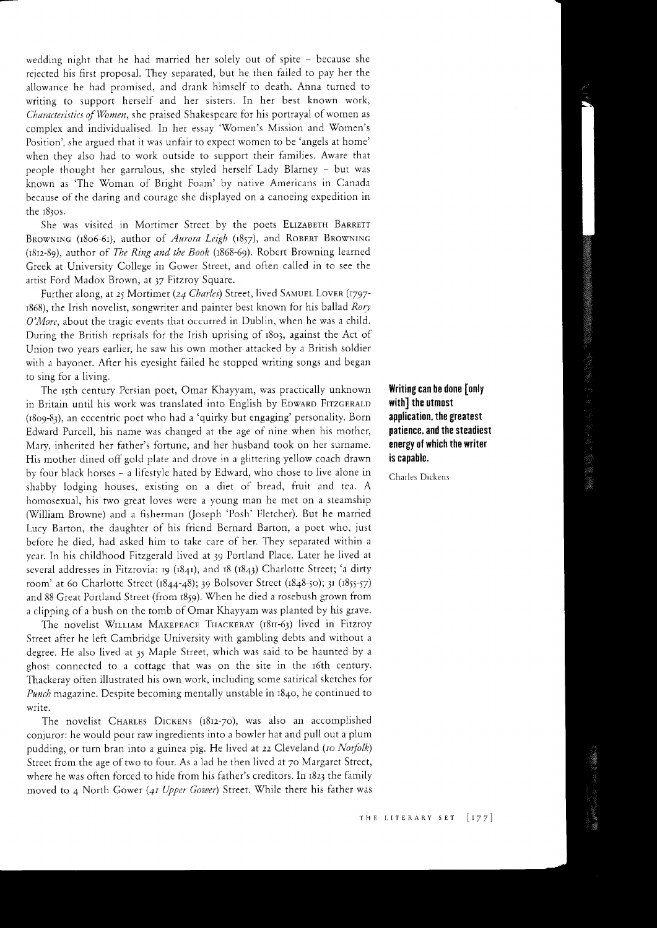wedding night that he had married her solely out of spite - because she rejected his first proposal. They separated, but he then faiied to pay her the allowance he had promised, and drank himself to death. Anna turned to writing to support herself and her sisters. In her best known work, Characteristics of Vomen, she praised Shakespeare for his portrayal of women as complex and individualised. In her essay ''Women's Mission and Women's Position', she argued that it was unfair to expect women to be 'angels at home' when they also had to work outside to support their families. Aware that people thought her garrulous, she styled herself Lady Blarney - but was known as 'The Woman of Bright Foam' by native Americans in Canada because of the daring and courage she displayed on a canoeing expedition in the 1830s.

She was visited in Mortimer Street by the poets ELIZABETH BARRETT BROWNING (1806-61), author of *Aurora Leigh* (1857), and ROBERT BROWNING (r8rz-89), author of The Ring and the Book (t868-59). Robert Browning learned Greek at University College in Gower Street, and often called in to see the artist Ford Madox Brown, at 37 Fitzroy Square.

Further along, at 25 Mortimer (24 Charles) Street, lived SAMUEL LOVER (1797-1868), the Irish novelist, songwriter and painter best known for his ballad Rory O'More, about the tragic events that occurred in Dublin, when he was a child. During the British reprisals for the Irish uprising of r8o3, against the Act of Union two years earlier, he saw his own mother attacked by a Brittsh soldier with a bayonet. After his eyesight failed he stopped writing songs and began to sing for a living.

The 15th century Persian poet, Omar Khayyam, was practically unknown **Writing can be done [only**<br>Britain until his work was translated into English by Edward Fitzgerald (with the utmost in Britain until his work was translated into English by EDWARD FITZGERALD with the utmost  $(1809-83)$ , an eccentric poet who had a 'quirky but engaging' personality. Born application, the greatest  $(1809-83)$ , an eccentric poet who had a 'quirky but engaging' personality. Born Edward Purcell, his name was changed at the age of nine when his mother, **patience, and the steadiest** Mary, inherited her father's fortune, and her husband took on her surname. energy of which the writer His mother dined off gold plate and drove in a glittering yellow coach drawn is capable. by four black horses - a lifestyle hated by Edward, who chose to live alone in Charles Dickens shabby lodging houses, existing on a diet of bread, fruit and tea. A homosexual, his two great loves were a young man he met on a steamship (William Browne) and a fisherman (Joseph 'Posh' Fletcher). But he married Lucy Barton, the daughter of his friend Bernard Barton, a poet who, iust before he died, had asked him to take care of her. They separated within <sup>a</sup> year. In his childhood Fitzgerald lived at 39 Portland Place. Later he lived at several addresses in Fitzrovia: 19 (1841), and 18 (1843) Charlotte Street; 'a dirty room' at 60 Charlotte Street (1844-48); 39 Bolsover Street (1848-50); 31 (1855-57) and 88 Great Portland Street (from 1859). When he died a rosebush grown from a clipping of a bush on the tomb of Omar Khayyam was planted by his grave.

The novelist WILLIAM MAKEPEACE THACKERAY (1811-63) lived in Fitzroy Street after he left Cambridge University with gambling debts and without <sup>a</sup> degree. He aiso lived at 3y Maple Street, which was said to be haunted by <sup>a</sup> ghost connected to a cottage that was on the site in the r6th century. Thackeray often iilustrated his own work, inciuding some satirical sketches for Punch magazine. Despite becoming mentally unstable in 1840, he continued to write.

The novelist CHARLES DICKENS (1812-70), was also an accomplished conjuror: he would pour raw ingredients into a bowler hat and pull out a plum pudding, or turn bran into a guinea pig. He lived at 22 Cleveland (to Norfolk) Street from the age of two to four. As a lad he then lived at 70 Margaret Street, where he was often forced to hide from his father's creditors. In 1823 the family moved to 4 North Gower (41 Upper Gower) Street. While there his father was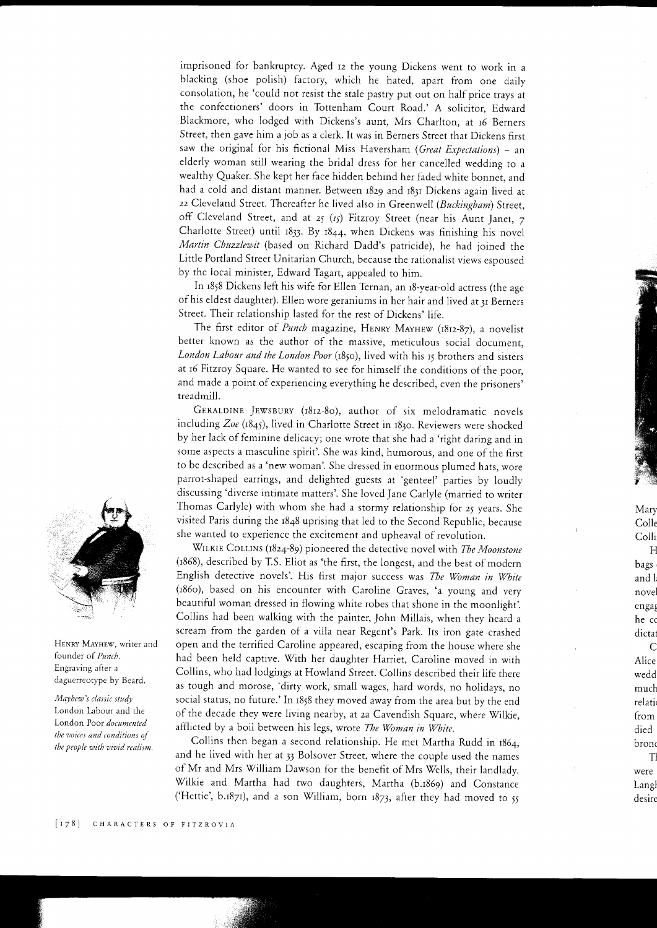imprisoned for bankruptcy. Aged 12 the young Dickens went to work in <sup>a</sup> blacking (shoe polish) factory, which he hated, apart from one daily consolation, he'could not resist the stale pastry put out on half price trays at the confectioners' doors in Tottenham Court Road.' A solicitor, Edward Blackmore, who iodged with Dickens's aunt, Mrs Charlton, at 16 Berners Street, then gave him a job as a clerk. It was in Berners street that Dickens first saw the original for his fictional Miss Haversham (Great Expectations) - an elderly woman still wearing the bridal dress for her cancelled wedding to <sup>a</sup> wealthy Quaker. She kept her face hidden behind her faded white bonnet, and had a cold and distant manner. Between r8z9 and i83r Dickens again lived at 22 Cleveland Street. Thereafter he lived also in Greenwell (Buckingham) Street, off Cleveland Street, and at 25 ( $I_5$ ) Fitzroy Street (near his Aunt Janet, 7 Charlotte Street) until  $1833$ . By  $1844$ , when Dickens was finishing his novel Martin Chuzzlewit (based on Richard Dadd's patricide), he had joined the Little Portland Street Unitarian Church, because the rationalist views espoused by the local minister, Edward Tagart, appealed to him.

In 1858 Dickens left his wife for Ellen Ternan, an r8-year-old actress (the age of his eldest daughter). Ellen wore geraniums in her hair and lived at Jr Berners Street. Their relationship lasted for the rest of Dickens' life.

The first editor of *Punch* magazine, HENRY MAYHEW (1812-87), a novelist better known as the author of the massive, meticulous social document, London Labour and the London Poor (1850), lived with his 15 brothers and sisters at 16 Fitzroy Square. He wanted to see for himself the conditions of the poor, and made a point of experiencing everything he described, even the prisoners' treadmill.

GERALDINE JEWSBURY (1812-80), author of six melodramatic novels including  $Zoe$  (1845), lived in Charlotte Street in 1830. Reviewers were shocked by her lack of feminine delicacy; one wrote that she had a'right daring and in some aspects a masculine spirit'. She was kind, humorous, and one of the first to be described as a 'new woman'. She dressed in enormous plumed hats, wore parrot-shaped earrings, and delighted guests at 'genteel' parties by loudly discussing 'diverse intimate matters'. She loved Jane Carlyle (married to writer Thomas Carlyle) with whom she had a stormy relationship for 25 years. She visited Paris during the 1848 uprising that led to the Second Republic, because she wanted to experience the excitement and upheaval of revolution.

WILKIE COLLINS (1824-89) pioneered the detective novel with The Moonstone (1868), described by T.S. Eliot as'the first, the longest, and the best of modern English detective novels'. His first major success was The Woman in White (186o), based on his encounter with Caroline Graves, 'a young and very beautiful woman dressed in flowing white robes that shone in the moonlight'. Collins had been walking with the painter, John Millais, when they heard <sup>a</sup> scream from the garden of a vi1la near Regent's Park. Its iron gate crashed open and the terrified Caroline appeared, escaping from the house where she had been held captive. With her daughter Harriet, Caroline moved in with collins, who had lodgings at Howland street. Collins described their life there as tough and morose, 'dirty work, small wages, hard words, no holidays, no social status, no future.' In 1858 they moved away from the area but by the end of the decade they were living nearby, at 2a Cavendish Square, where Wilkie, afflicted by a boil between his legs, wrote The Woman in White.

Collins then began a second relationship. He met Martha Rudd in 1854, and he lived with her at 33 Bolsover Street, where the couple used the names of Mr and Mrs William Dawson for the benefit of Mrs Wells, their landlady. Wilkie and Martha had two daughters, Martha (b.1869) and Constance ('Hettie', b.1871), and a son William, born  $1873$ , after they had moved to  $55$ 



HENRY MAYHEW, writer and founder of Punch. Engraving after a daguerreotype by Beard.

Mayhew's classic study London Labour and the London Poor documented the voices and conditions of the people with vivid realism. Colle Colli H bags

Mary

and 1 novel engag he co dicta C Alice wedd

much relati from died bronc TI

were Langl desire